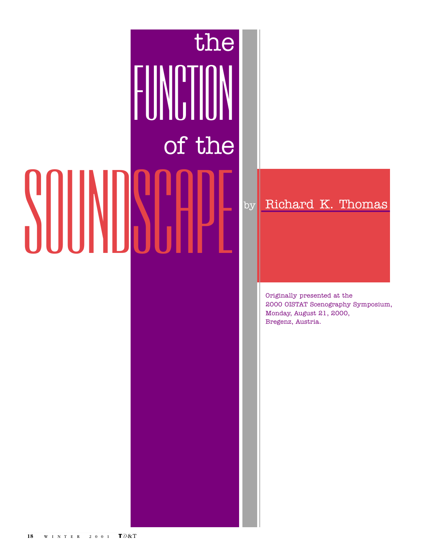# SOUNDSCAPE FUNCT the of the

by Richard K. Thomas

Originally presented at the 2000 OISTAT Scenography Symposium, Monday, August 21, 2000, Bregenz, Austria.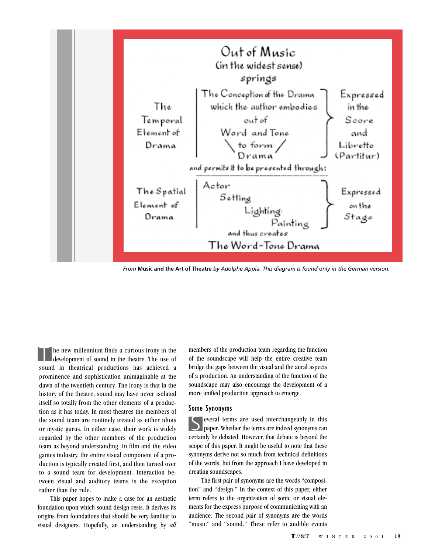

*From* **Music and the Art of Theatre** *by Adolphe Appia. This diagram is found only in the German version.*

 $\ln$  he new millennium finds a curious irony in the development of sound in the theatre. The use of sound in theatrical productions has achieved a prominence and sophistication unimaginable at the dawn of the twentieth century. The irony is that in the history of the theatre, sound may have never isolated itself so totally from the other elements of a production as it has today. In most theatres the members of the sound team are routinely treated as either idiots or mystic gurus. In either case, their work is widely regarded by the other members of the production team as beyond understanding. In film and the video games industry, the entire visual component of a production is typically created first, and then turned over to a sound team for development. Interaction between visual and auditory teams is the exception rather than the rule.

This paper hopes to make a case for an aesthetic foundation upon which sound design rests. It derives its origins from foundations that should be very familiar to visual designers. Hopefully, an understanding by *all* members of the production team regarding the function of the soundscape will help the entire creative team bridge the gaps between the visual and the aural aspects of a production. An understanding of the function of the soundscape may also encourage the development of a more unified production approach to emerge.

#### Some Synonyms

S everal terms are used interchangeably in this paper. Whether the terms are indeed synonyms can certainly be debated. However, that debate is beyond the scope of this paper. It might be useful to note that these synonyms derive not so much from technical definitions of the words, but from the approach I have developed in creating soundscapes.

The first pair of synonyms are the words "composition" and "design." In the context of this paper, either term refers to the organization of sonic or visual elements for the express purpose of communicating with an audience. The second pair of synonyms are the words "music" and "sound." These refer to audible events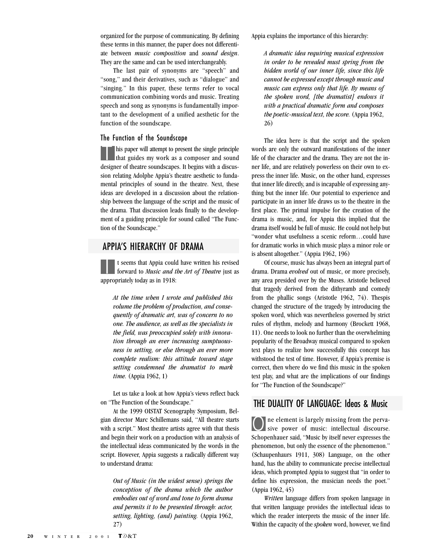organized for the purpose of communicating. By defining these terms in this manner, the paper does not differentiate between *music composition* and *sound design*. They are the same and can be used interchangeably.

The last pair of synonyms are "speech" and "song," and their derivatives, such as "dialogue" and "singing." In this paper, these terms refer to vocal communication combining words and music. Treating speech and song as synonyms is fundamentally important to the development of a unified aesthetic for the function of the soundscape.

#### The Function of the Soundscape

Inis paper will attempt to present the single principle that guides my work as a composer and sound designer of theatre soundscapes. It begins with a discussion relating Adolphe Appia's theatre aesthetic to fundamental principles of sound in the theatre. Next, these ideas are developed in a discussion about the relationship between the language of the script and the music of the drama. That discussion leads finally to the development of a guiding principle for sound called "The Function of the Soundscape."

# APPIA'S HIERARCHY OF DRAMA

I t seems that Appia could have written his revised forward to *Music and the Art of Theatre* just as appropriately today as in 1918:

*At the time when I wrote and published this volume the problem of production, and consequently of dramatic art, was of concern to no one. The audience, as well as the specialists in the field, was preoccupied solely with innovation through an ever increasing sumptuousness in setting, or else through an ever more complete realism: this attitude toward stage setting condemned the dramatist to mark time.* (Appia 1962, 1)

Let us take a look at how Appia's views reflect back on "The Function of the Soundscape."

At the 1999 OISTAT Scenography Symposium, Belgian director Marc Schillemans said, "All theatre starts with a script." Most theatre artists agree with that thesis and begin their work on a production with an analysis of the intellectual ideas communicated by the words in the script. However, Appia suggests a radically different way to understand drama:

*Out of Music (in the widest sense) springs the conception of the drama which the author embodies out of word and tone to form drama and permits it to be presented through: actor, setting, lighting, (and) painting.* (Appia 1962, 27)

Appia explains the importance of this hierarchy:

*A dramatic idea requiring musical expression in order to be revealed must spring from the hidden world of our inner life, since this life cannot be expressed except through music and music can express only that life. By means of the spoken word, [the dramatist] endows it with a practical dramatic form and composes the poetic-musical text, the score.* (Appia 1962, 26)

The idea here is that the script and the spoken words are only the outward manifestations of the inner life of the character and the drama. They are not the inner life, and are relatively powerless on their own to express the inner life. Music, on the other hand, expresses that inner life directly, and is incapable of expressing anything but the inner life. Our potential to experience and participate in an inner life draws us to the theatre in the first place. The primal impulse for the creation of the drama is music, and, for Appia this implied that the drama itself would be full of music. He could not help but "wonder what usefulness a scenic reform…could have for dramatic works in which music plays a minor role or is absent altogether." (Appia 1962, 196)

Of course, music has always been an integral part of drama. Drama *evolved* out of music, or more precisely, any area presided over by the Muses. Aristotle believed that tragedy derived from the dithyramb and comedy from the phallic songs (Aristotle 1962, 74). Thespis changed the structure of the tragedy by introducing the spoken word, which was nevertheless governed by strict rules of rhythm, melody and harmony (Brockett 1968, 11). One needs to look no further than the overwhelming popularity of the Broadway musical compared to spoken text plays to realize how successfully this concept has withstood the test of time. However, if Appia's premise is correct, then where do we find this music in the spoken text play, and what are the implications of our findings for "The Function of the Soundscape?"

## THE DUALITY OF LANGUAGE: Ideas & Music

O ne element is largely missing from the perva-sive power of music: intellectual discourse. Schopenhauer said, "Music by itself never expresses the phenomenon, but only the essence of the phenomenon." (Schaupenhaurs 1911, 308) Language, on the other hand, has the ability to communicate precise intellectual ideas, which prompted Appia to suggest that "in order to define his expression, the musician needs the poet." (Appia 1962, 45)

*Written* language differs from spoken language in that written language provides the intellectual ideas to which the reader interprets the music of the inner life. Within the capacity of the *spoken* word, however, we find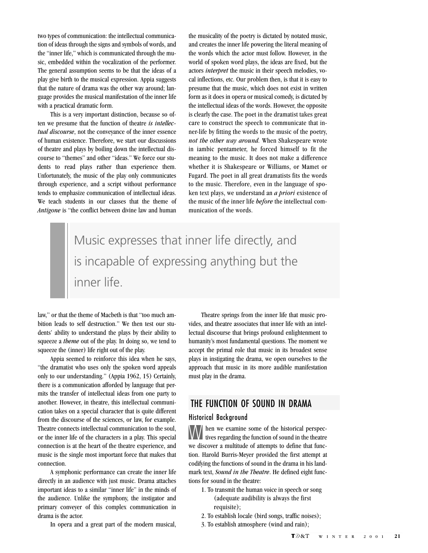two types of communication: the intellectual communication of ideas through the signs and symbols of words, and the "inner life," which is communicated through the music, embedded within the vocalization of the performer. The general assumption seems to be that the ideas of a play give birth to the musical expression. Appia suggests that the nature of drama was the other way around; language provides the musical manifestation of the inner life with a practical dramatic form.

This is a very important distinction, because so often we presume that the function of theatre *is intellectual discourse*, not the conveyance of the inner essence of human existence. Therefore, we start our discussions of theatre and plays by boiling down the intellectual discourse to "themes" and other "ideas." We force our students to read plays rather than experience them. Unfortunately, the music of the play only communicates through experience, and a script without performance tends to emphasize communication of intellectual ideas. We teach students in our classes that the theme of *Antigone* is "the conflict between divine law and human the musicality of the poetry is dictated by notated music, and creates the inner life powering the literal meaning of the words which the actor must follow. However, in the world of spoken word plays, the ideas are fixed, but the actors *interpret* the music in their speech melodies, vocal inflections, etc. Our problem then, is that it is easy to presume that the music, which does not exist in written form as it does in opera or musical comedy, is dictated by the intellectual ideas of the words. However, the opposite is clearly the case. The poet in the dramatist takes great care to construct the speech to communicate that inner-life by fitting the words to the music of the poetry, *not the other way around.* When Shakespeare wrote in iambic pentameter, he forced himself to fit the meaning to the music. It does not make a difference whether it is Shakespeare or Williams, or Mamet or Fugard. The poet in all great dramatists fits the words to the music. Therefore, even in the language of spoken text plays, we understand an *a priori* existence of the music of the inner life *before* the intellectual communication of the words.

Music expresses that inner life directly, and is incapable of expressing anything but the inner life.

law," or that the theme of Macbeth is that "too much ambition leads to self destruction." We then test our students' ability to understand the plays by their ability to squeeze a *theme* out of the play. In doing so, we tend to squeeze the (inner) life right out of the play.

Appia seemed to reinforce this idea when he says, "the dramatist who uses only the spoken word appeals only to our understanding." (Appia 1962, 15) Certainly, there is a communication afforded by language that permits the transfer of intellectual ideas from one party to another. However, in theatre, this intellectual communication takes on a special character that is quite different from the discourse of the sciences, or law, for example. Theatre connects intellectual communication to the soul, or the inner life of the characters in a play. This special connection is at the heart of the theatre experience, and music is the single most important force that makes that connection.

A symphonic performance can create the inner life directly in an audience with just music. Drama attaches important ideas to a similar "inner life" in the minds of the audience. Unlike the symphony, the instigator and primary conveyer of this complex communication in drama is the actor.

In opera and a great part of the modern musical,

Theatre springs from the inner life that music provides, and theatre associates that inner life with an intellectual discourse that brings profound enlightenment to humanity's most fundamental questions. The moment we accept the primal role that music in its broadest sense plays in instigating the drama, we open ourselves to the approach that music in its more audible manifestation must play in the drama.

# THE FUNCTION OF SOUND IN DRAMA

#### Historical Background

W hen we examine some of the historical perspectives regarding the function of sound in the theatre we discover a multitude of attempts to define that function. Harold Burris-Meyer provided the first attempt at codifying the functions of sound in the drama in his landmark text, *Sound in the Theatre*. He defined eight functions for sound in the theatre:

- 1. To transmit the human voice in speech or song (adequate audibility is always the first requisite);
- 2. To establish locale (bird songs, traffic noises);
- 3. To establish atmosphere (wind and rain);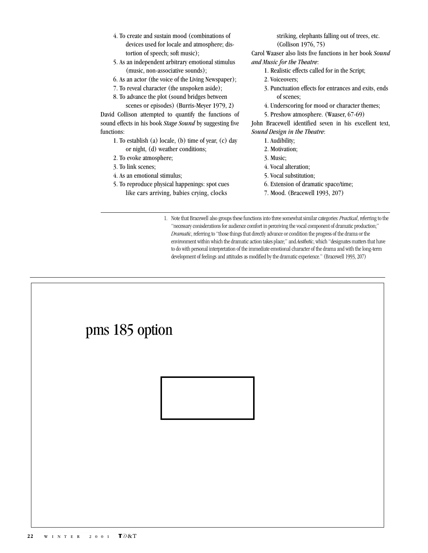- 4. To create and sustain mood (combinations of devices used for locale and atmosphere; distortion of speech; soft music);
- 5. As an independent arbitrary emotional stimulus (music, non-associative sounds);
- 6. As an actor (the voice of the Living Newspaper);
- 7. To reveal character (the unspoken aside);
- 8. To advance the plot (sound bridges between scenes or episodes) (Burris-Meyer 1979, 2)

David Collison attempted to quantify the functions of sound effects in his book *Stage Sound* by suggesting five functions:

- 1. To establish (a) locale, (b) time of year, (c) day or night, (d) weather conditions;
- 2. To evoke atmosphere;
- 3. To link scenes;
- 4. As an emotional stimulus;
- 5. To reproduce physical happenings: spot cues like cars arriving, babies crying, clocks

striking, elephants falling out of trees, etc. (Collison 1976, 75)

Carol Waaser also lists five functions in her book *Sound and Music for the Theatre*:

- 1. Realistic effects called for in the Script;
- 2. Voiceovers;
- 3. Punctuation effects for entrances and exits, ends of scenes;
- 4. Underscoring for mood or character themes;
- 5. Preshow atmosphere. (Waaser, 67-69)

John Bracewell identified seven in his excellent text, *Sound Design in the Theatre*:

- 1. Audibility;
- 2. Motivation;
- 3. Music;
- 4. Vocal alteration;
- 5. Vocal substitution;
- 6. Extension of dramatic space/time;
- 7. Mood. (Bracewell 1993, 207)

 1. Note that Bracewell also groups these functions into three somewhat similar categories: *Practical*, referring to the "necessary conisderations for audience comfort in perceiving the vocal component of dramatic production;" *Dramatic*, referring to "those things that directly advance or condition the progress of the drama or the environment within which the dramatic action takes place;" and *Aesthetic*, which "designates matters that have to do with personal interpretation of the immediate emotional character of the drama and with the long-term development of feelings and attitudes as modified by the dramatic experience." (Bracewell 1993, 207)

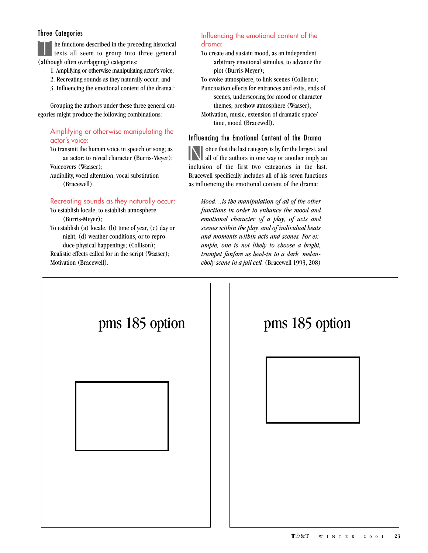### Three Categories

The functions described in the preceding historical<br>texts all seem to group into three general (although often overlapping) categories:

- 1. Amplifying or otherwise manipulating actor's voice;
- 2. Recreating sounds as they naturally occur; and
- 3. Influencing the emotional content of the drama.1

Grouping the authors under these three general categories might produce the following combinations:

#### Amplifying or otherwise manipulating the actor's voice:

To transmit the human voice in speech or song; as an actor; to reveal character (Burris-Meyer); Voiceovers (Waaser);

Audibility, vocal alteration, vocal substitution (Bracewell).

#### Recreating sounds as they naturally occur:

To establish locale, to establish atmosphere (Burris-Meyer);

To establish (a) locale, (b) time of year, (c) day or night, (d) weather conditions, or to reproduce physical happenings; (Collison); Realistic effects called for in the script (Waaser); Motivation (Bracewell).

#### Influencing the emotional content of the drama:

To create and sustain mood, as an independent arbitrary emotional stimulus, to advance the plot (Burris-Meyer);

To evoke atmosphere, to link scenes (Collison); Punctuation effects for entrances and exits, ends of

scenes, underscoring for mood or character themes, preshow atmosphere (Waaser);

Motivation, music, extension of dramatic space/ time, mood (Bracewell).

#### Influencing the Emotional Content of the Drama

Notice that the last category is by far the largest, and all of the authors in one way or another imply an inclusion of the first two categories in the last. Bracewell specifically includes all of his seven functions as influencing the emotional content of the drama:

*Mood…is the manipulation of all of the other functions in order to enhance the mood and emotional character of a play, of acts and scenes within the play, and of individual beats and moments within acts and scenes. For example, one is not likely to choose a bright, trumpet fanfare as lead-in to a dark, melancholy scene in a jail cell.* (Bracewell 1993, 208)

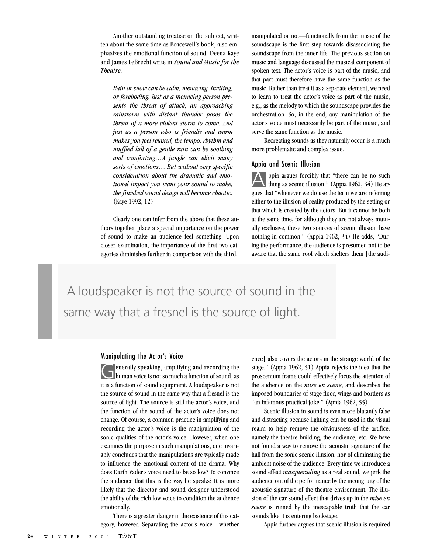Another outstanding treatise on the subject, written about the same time as Bracewell's book, also emphasizes the emotional function of sound. Deena Kaye and James LeBrecht write in *Sound and Music for the Theatre:*

*Rain or snow can be calm, menacing, inviting, or foreboding. Just as a menacing person presents the threat of attack, an approaching rainstorm with distant thunder poses the threat of a more violent storm to come. And just as a person who is friendly and warm makes you feel relaxed, the tempo, rhythm and muffled lull of a gentle rain can be soothing and comforting…A jungle can elicit many sorts of emotions….But without very specific consideration about the dramatic and emotional impact you want your sound to make, the finished sound design will become chaotic.* (Kaye 1992, 12)

Clearly one can infer from the above that these authors together place a special importance on the power of sound to make an audience feel something. Upon closer examination, the importance of the first two categories diminishes further in comparison with the third.

manipulated or not—functionally from the music of the soundscape is the first step towards disassociating the soundscape from the inner life. The previous section on music and language discussed the musical component of spoken text. The actor's voice is part of the music, and that part must therefore have the same function as the music. Rather than treat it as a separate element, we need to learn to treat the actor's voice as part of the music, e.g., as the melody to which the soundscape provides the orchestration. So, in the end, any manipulation of the actor's voice must necessarily be part of the music, and serve the same function as the music.

Recreating sounds as they naturally occur is a much more problematic and complex issue.

#### Appia and Scenic Illusion

Appia argues forcibly that "there can be no such thing as scenic illusion." (Appia 1962, 34) He argues that "whenever we do use the term we are referring either to the illusion of reality produced by the setting or that which is created by the actors. But it cannot be both at the same time, for although they are not always mutually exclusive, these two sources of scenic illusion have nothing in common." (Appia 1962, 34) He adds, "During the performance, the audience is presumed not to be aware that the same roof which shelters them [the audi-

 A loudspeaker is not the source of sound in the same way that a fresnel is the source of light.

#### Manipulating the Actor's Voice

Generally speaking, amplifying and recording the human voice is not so much a function of sound, as it is a function of sound equipment. A loudspeaker is not the source of sound in the same way that a fresnel is the source of light. The source is still the actor's voice, and the function of the sound of the actor's voice does not change. Of course, a common practice in amplifying and recording the actor's voice is the manipulation of the sonic qualities of the actor's voice. However, when one examines the purpose in such manipulations, one invariably concludes that the manipulations are typically made to influence the emotional content of the drama. Why does Darth Vader's voice need to be so low? To convince the audience that this is the way he speaks? It is more likely that the director and sound designer understood the ability of the rich low voice to condition the audience emotionally.

There is a greater danger in the existence of this category, however. Separating the actor's voice—whether ence] also covers the actors in the strange world of the stage." (Appia 1962, 51) Appia rejects the idea that the proscenium frame could effectively focus the attention of the audience on the *mise en scene*, and describes the imposed boundaries of stage floor, wings and borders as "an infamous practical joke." (Appia 1962, 55)

Scenic illusion in sound is even more blatantly false and distracting because lighting can be used in the visual realm to help remove the obviousness of the artifice, namely the theatre building, the audience, etc. We have not found a way to remove the acoustic signature of the hall from the sonic scenic illusion, nor of eliminating the ambient noise of the audience. Every time we introduce a sound effect *masquerading* as a real sound, we jerk the audience out of the performance by the incongruity of the acoustic signature of the theatre environment. The illusion of the car sound effect that drives up in the *mise en scene* is ruined by the inescapable truth that the car sounds like it is entering backstage.

Appia further argues that scenic illusion is required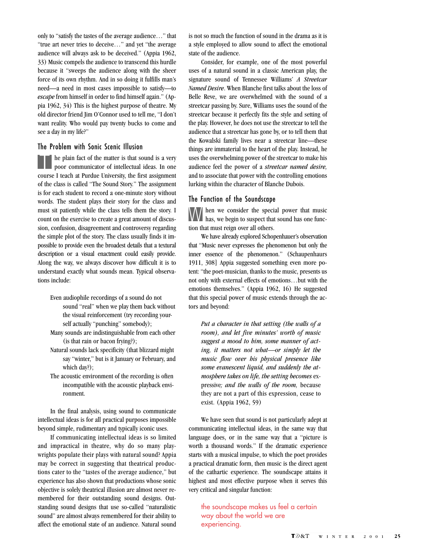only to "satisfy the tastes of the average audience…" that "true art never tries to deceive…" and yet "the average audience will always ask to be deceived." (Appia 1962, 33) Music compels the audience to transcend this hurdle because it "sweeps the audience along with the sheer force of its own rhythm. And in so doing it fulfills man's need—a need in most cases impossible to satisfy—to *escape* from himself in order to find himself again." (Appia 1962, 34) This is the highest purpose of theatre. My old director friend Jim O'Connor used to tell me, "I don't want reality. Who would pay twenty bucks to come and see a day in my life?"

#### The Problem with Sonic Scenic Illusion

 $\vert$  he plain fact of the matter is that sound is a very poor communicator of intellectual ideas. In one course I teach at Purdue University, the first assignment of the class is called "The Sound Story." The assignment is for each student to record a one-minute story without words. The student plays their story for the class and must sit patiently while the class tells them the story. I count on the exercise to create a great amount of discussion, confusion, disagreement and controversy regarding the simple plot of the story. The class usually finds it impossible to provide even the broadest details that a textural description or a visual enactment could easily provide. Along the way, we always discover how difficult it is to understand exactly what sounds mean. Typical observations include:

- Even audiophile recordings of a sound do not sound "real" when we play them back without the visual reinforcement (try recording yourself actually "punching" somebody);
- Many sounds are indistinguishable from each other (is that rain or bacon frying?);
- Natural sounds lack specificity (that blizzard might say "winter," but is it January or February, and which day?);
- The acoustic environment of the recording is often incompatible with the acoustic playback environment.

In the final analysis, using sound to communicate intellectual ideas is for all practical purposes impossible beyond simple, rudimentary and typically iconic uses.

If communicating intellectual ideas is so limited and impractical in theatre, why do so many playwrights populate their plays with natural sound? Appia may be correct in suggesting that theatrical productions cater to the "tastes of the average audience," but experience has also shown that productions whose sonic objective is solely theatrical illusion are almost never remembered for their outstanding sound designs. Outstanding sound designs that use so-called "naturalistic sound" are almost always remembered for their ability to affect the emotional state of an audience. Natural sound is not so much the function of sound in the drama as it is a style employed to allow sound to affect the emotional state of the audience.

Consider, for example, one of the most powerful uses of a natural sound in a classic American play, the signature sound of Tennessee Williams' *A Streetcar Named Desire*. When Blanche first talks about the loss of Belle Reve, we are overwhelmed with the sound of a streetcar passing by. Sure, Williams uses the sound of the streetcar because it perfectly fits the style and setting of the play. However, he does not use the streetcar to tell the audience that a streetcar has gone by, or to tell them that the Kowalski family lives near a streetcar line—these things are immaterial to the heart of the play. Instead, he uses the overwhelming power of the streetcar to make his audience feel the power of a *streetcar named desire,* and to associate that power with the controlling emotions lurking within the character of Blanche Dubois.

#### The Function of the Soundscape

W hen we consider the special power that music<br>has, we begin to suspect that sound has one function that must reign over all others.

We have already explored Schopenhauer's observation that "Music never expresses the phenomenon but only the inner essence of the phenomenon." (Schaupenhaurs 1911, 308] Appia suggested something even more potent: "the poet-musician, thanks to the music, presents us not only with external effects of emotions…but with the emotions themselves." (Appia 1962, 16) He suggested that this special power of music extends through the actors and beyond:

*Put a character in that setting (the walls of a room), and let five minutes' worth of music suggest a mood to him, some manner of acting, it matters not what—or simply let the music flow over his physical presence like some evanescent liquid, and suddenly the atmosphere takes on life, the setting becomes* expressive*; and the walls of the room,* because they are not a part of this expression, cease to exist. (Appia 1962, 59)

We have seen that sound is not particularly adept at communicating intellectual ideas, in the same way that language does, or in the same way that a "picture is worth a thousand words." If the dramatic experience starts with a musical impulse, to which the poet provides a practical dramatic form, then music is the direct agent of the cathartic experience. The soundscape attains it highest and most effective purpose when it serves this very critical and singular function:

the soundscape makes us feel a certain way about the world we are experiencing.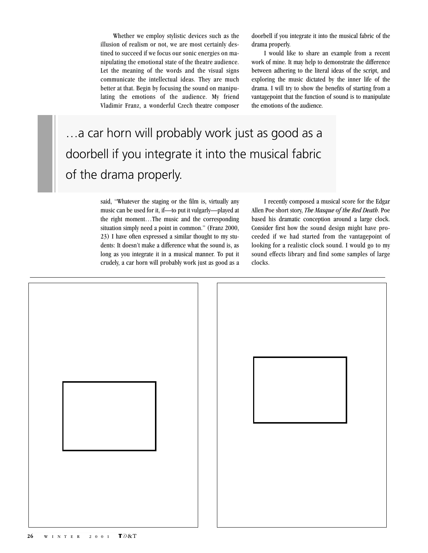Whether we employ stylistic devices such as the illusion of realism or not, we are most certainly destined to succeed if we focus our sonic energies on manipulating the emotional state of the theatre audience. Let the meaning of the words and the visual signs communicate the intellectual ideas. They are much better at that. Begin by focusing the sound on manipulating the emotions of the audience. My friend Vladimir Franz, a wonderful Czech theatre composer doorbell if you integrate it into the musical fabric of the drama properly.

I would like to share an example from a recent work of mine. It may help to demonstrate the difference between adhering to the literal ideas of the script, and exploring the music dictated by the inner life of the drama. I will try to show the benefits of starting from a vantagepoint that the function of sound is to manipulate the emotions of the audience.

# …a car horn will probably work just as good as a doorbell if you integrate it into the musical fabric of the drama properly.

said, "Whatever the staging or the film is, virtually any music can be used for it, if—to put it vulgarly—played at the right moment…The music and the corresponding situation simply need a point in common." (Franz 2000, 23) I have often expressed a similar thought to my students: It doesn't make a difference what the sound is, as long as you integrate it in a musical manner. To put it crudely, a car horn will probably work just as good as a

I recently composed a musical score for the Edgar Allen Poe short story, *The Masque of the Red Death*. Poe based his dramatic conception around a large clock. Consider first how the sound design might have proceeded if we had started from the vantagepoint of looking for a realistic clock sound. I would go to my sound effects library and find some samples of large clocks.

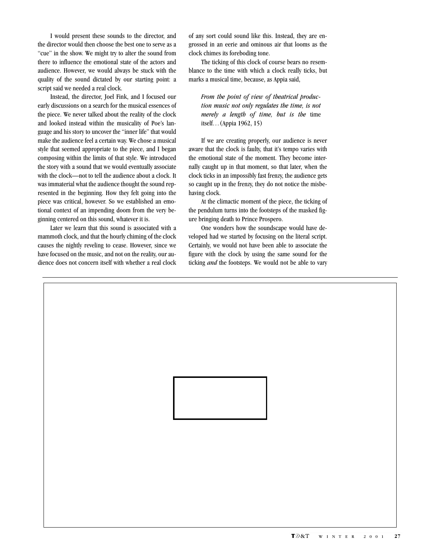I would present these sounds to the director, and the director would then choose the best one to serve as a "cue" in the show. We might try to alter the sound from there to influence the emotional state of the actors and audience. However, we would always be stuck with the quality of the sound dictated by our starting point: a script said we needed a real clock.

Instead, the director, Joel Fink, and I focused our early discussions on a search for the musical essences of the piece. We never talked about the reality of the clock and looked instead within the musicality of Poe's language and his story to uncover the "inner life" that would make the audience feel a certain way. We chose a musical style that seemed appropriate to the piece, and I began composing within the limits of that style. We introduced the story with a sound that we would eventually associate with the clock—not to tell the audience about a clock. It was immaterial what the audience thought the sound represented in the beginning. How they felt going into the piece was critical, however. So we established an emotional context of an impending doom from the very beginning centered on this sound, whatever it is.

Later we learn that this sound is associated with a mammoth clock, and that the hourly chiming of the clock causes the nightly reveling to cease. However, since we have focused on the music, and not on the reality, our audience does not concern itself with whether a real clock of any sort could sound like this. Instead, they are engrossed in an eerie and ominous air that looms as the clock chimes its foreboding tone.

The ticking of this clock of course bears no resemblance to the time with which a clock really ticks, but marks a musical time, because, as Appia said,

*From the point of view of theatrical production music not only regulates the time, is not merely a length of time, but is the* time itself*…*(Appia 1962, 15)

If we are creating properly, our audience is never aware that the clock is faulty, that it's tempo varies with the emotional state of the moment. They become internally caught up in that moment, so that later, when the clock ticks in an impossibly fast frenzy, the audience gets so caught up in the frenzy, they do not notice the misbehaving clock.

At the climactic moment of the piece, the ticking of the pendulum turns into the footsteps of the masked figure bringing death to Prince Prospero.

One wonders how the soundscape would have developed had we started by focusing on the literal script. Certainly, we would not have been able to associate the figure with the clock by using the same sound for the ticking *and* the footsteps. We would not be able to vary

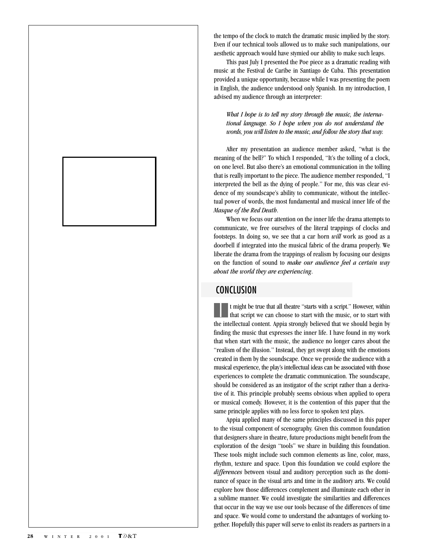the tempo of the clock to match the dramatic music implied by the story. Even if our technical tools allowed us to make such manipulations, our aesthetic approach would have stymied our ability to make such leaps.

This past July I presented the Poe piece as a dramatic reading with music at the Festival de Caribe in Santiago de Cuba. This presentation provided a unique opportunity, because while I was presenting the poem in English, the audience understood only Spanish. In my introduction, I advised my audience through an interpreter:

#### *What I hope is to tell my story through the music, the international language. So I hope when you do not understand the words, you will listen to the music, and follow the story that way.*

After my presentation an audience member asked, "what is the meaning of the bell?" To which I responded, "It's the tolling of a clock, on one level. But also there's an emotional communication in the tolling that is really important to the piece. The audience member responded, "I interpreted the bell as the dying of people." For me, this was clear evidence of my soundscape's ability to communicate, without the intellectual power of words, the most fundamental and musical inner life of the *Masque of the Red Death*.

When we focus our attention on the inner life the drama attempts to communicate, we free ourselves of the literal trappings of clocks and footsteps. In doing so, we see that a car horn *will* work as good as a doorbell if integrated into the musical fabric of the drama properly. We liberate the drama from the trappings of realism by focusing our designs on the function of sound to *make our audience feel a certain way about the world they are experiencing*.

# **CONCLUSION**

I t might be true that all theatre "starts with a script." However, within that script we can choose to start with the music, or to start with the intellectual content. Appia strongly believed that we should begin by finding the music that expresses the inner life. I have found in my work that when start with the music, the audience no longer cares about the "realism of the illusion." Instead, they get swept along with the emotions created in them by the soundscape. Once we provide the audience with a musical experience, the play's intellectual ideas can be associated with those experiences to complete the dramatic communication. The soundscape, should be considered as an instigator of the script rather than a derivative of it. This principle probably seems obvious when applied to opera or musical comedy. However, it is the contention of this paper that the same principle applies with no less force to spoken text plays.

Appia applied many of the same principles discussed in this paper to the visual component of scenography. Given this common foundation that designers share in theatre, future productions might benefit from the exploration of the design "tools" we share in building this foundation. These tools might include such common elements as line, color, mass, rhythm, texture and space. Upon this foundation we could explore the *differences* between visual and auditory perception such as the dominance of space in the visual arts and time in the auditory arts. We could explore how those differences complement and illuminate each other in a sublime manner. We could investigate the similarities and differences that occur in the way we use our tools because of the differences of time and space. We would come to understand the advantages of working together. Hopefully this paper will serve to enlist its readers as partners in a